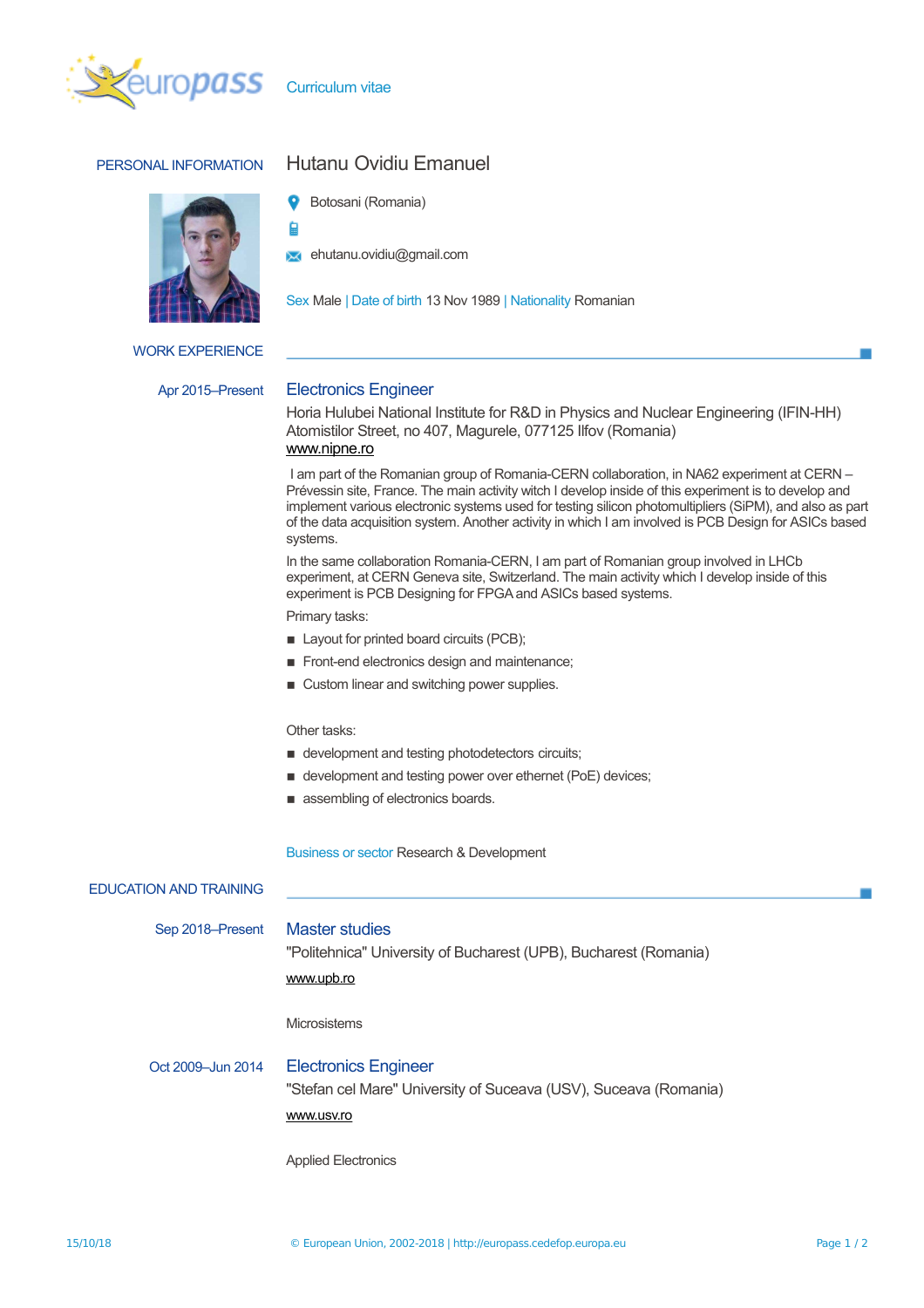

Curriculum vitae

ġ

## PERSONAL INFORMATION Hutanu Ovidiu Emanuel



WORK EXPERIENCE

# Botosani (Romania)

**Ext** ehutanu.ovidiu@gmail.com

Sex Male | Date of birth 13 Nov 1989 | Nationality Romanian

## Apr 2015–Present Electronics Engineer

Horia Hulubei National Institute for R&D in Physics and Nuclear Engineering (IFIN-HH) Atomistilor Street, no 407, Magurele, 077125 Ilfov (Romania) www.nipne.ro

I am part of the Romanian group of Romania-CERN collaboration, in NA62 experiment at CERN – Prévessin site, France. The main activity witch I develop inside of this experiment is to develop and implement various electronic systems used for testing silicon photomultipliers (SiPM), and also as part of the data acquisition system. Another activity in which I am involved is PCB Design for ASICs based systems.

In the same collaboration Romania-CERN, I am part of Romanian group involved in LHCb experiment, at CERN Geneva site, Switzerland. The main activity which I develop inside of this experiment is PCB Designing for FPGA and ASICs based systems.

Primary tasks:

- Layout for printed board circuits (PCB);
- **Front-end electronics design and maintenance;**
- Custom linear and switching power supplies.

## Other tasks:

- $\blacksquare$  development and testing photodetectors circuits;
- $\blacksquare$  development and testing power over ethernet (PoE) devices;
- assembling of electronics boards.

Business or sector Research & Development

| <b>EDUCATION AND TRAINING</b> |                                                                                                               |
|-------------------------------|---------------------------------------------------------------------------------------------------------------|
| Sep 2018-Present              | <b>Master studies</b><br>"Politehnica" University of Bucharest (UPB), Bucharest (Romania)<br>www.upb.ro       |
|                               | <b>Microsistems</b>                                                                                           |
| Oct 2009-Jun 2014             | <b>Electronics Engineer</b><br>"Stefan cel Mare" University of Suceava (USV), Suceava (Romania)<br>www.usv.ro |
|                               | <b>Applied Electronics</b>                                                                                    |